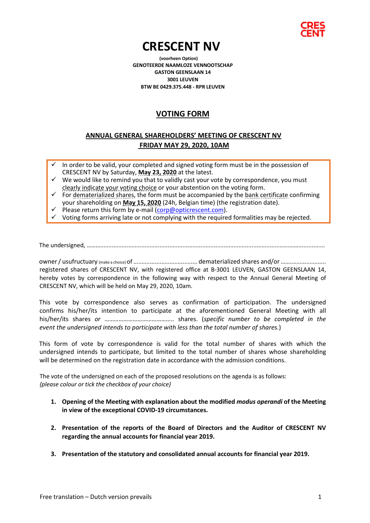

# **CRESCENT NV (voorheen Option)**

**GENOTEERDE NAAMLOZE VENNOOTSCHAP GASTON GEENSLAAN 14 3001 LEUVEN BTW BE 0429.375.448 - RPR LEUVEN**

## **VOTING FORM**

### **ANNUAL GENERAL SHAREHOLDERS' MEETING OF CRESCENT NV FRIDAY MAY 29, 2020, 10AM**

- In order to be valid, your completed and signed voting form must be in the possession of CRESCENT NV by Saturday, **May 23, 2020** at the latest.
- $\checkmark$  We would like to remind you that to validly cast your vote by correspondence, you must clearly indicate your voting choice or your abstention on the voting form.
- $\checkmark$  For dematerialized shares, the form must be accompanied by the bank certificate confirming your shareholding on **May 15, 2020** (24h, Belgian time) (the registration date).
- Please return this form by e-mail (corp@opticrescent.com).
- Voting forms arriving late or not complying with the required formalities may be rejected.

The undersigned, ………...................................................................................................................……................

owner / usufructuary (make a choice)of ....................................... dematerialized shares and/or……...................... registered shares of CRESCENT NV, with registered office at B-3001 LEUVEN, GASTON GEENSLAAN 14, hereby votes by correspondence in the following way with respect to the Annual General Meeting of CRESCENT NV, which will be held on May 29, 2020, 10am.

This vote by correspondence also serves as confirmation of participation. The undersigned confirms his/her/its intention to participate at the aforementioned General Meeting with all his/her/its shares *or* …………………………………….. shares. (*specific number to be completed in the event the undersigned intends to participate with less than the total number of shares.*)

This form of vote by correspondence is valid for the total number of shares with which the undersigned intends to participate, but limited to the total number of shares whose shareholding will be determined on the registration date in accordance with the admission conditions.

The vote of the undersigned on each of the proposed resolutions on the agenda is as follows: *(please colour or tick the checkbox of your choice)*

- **1. Opening of the Meeting with explanation about the modified** *modus operandi* **of the Meeting in view of the exceptional COVID-19 circumstances.**
- **2. Presentation of the reports of the Board of Directors and the Auditor of CRESCENT NV regarding the annual accounts for financial year 2019.**
- **3. Presentation of the statutory and consolidated annual accounts for financial year 2019.**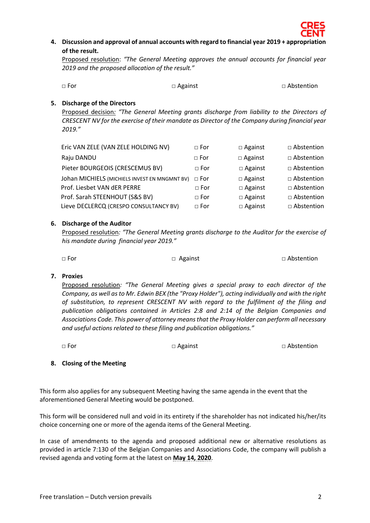

**4. Discussion and approval of annual accounts with regard to financial year 2019 + appropriation of the result.**

Proposed resolution: *"The General Meeting approves the annual accounts for financial year 2019 and the proposed allocation of the result."*

| $\Box$ For | $\Box$ Against | □ Abstention |
|------------|----------------|--------------|
|            |                |              |

#### **5. Discharge of the Directors**

Proposed decision*: "The General Meeting grants discharge from liability to the Directors of CRESCENT NV for the exercise of their mandate as Director of the Company during financial year 2019."*

| Eric VAN ZELE (VAN ZELE HOLDING NV)           | $\Box$ For   | $\Box$ Against | □ Abstention      |
|-----------------------------------------------|--------------|----------------|-------------------|
| Raju DANDU                                    | $\Box$ For   | $\Box$ Against | $\Box$ Abstention |
| Pieter BOURGEOIS (CRESCEMUS BV)               | $\Box$ For   | $\Box$ Against | $\Box$ Abstention |
| Johan MICHIELS (MICHIELS INVEST EN MNGMNT BV) | $\sqcap$ For | $\Box$ Against | $\Box$ Abstention |
| Prof. Liesbet VAN dER PERRE                   | $\Box$ For   | $\Box$ Against | $\Box$ Abstention |
| Prof. Sarah STEENHOUT (S&S BV)                | $\Box$ For   | $\Box$ Against | □ Abstention      |
| Lieve DECLERCQ (CRESPO CONSULTANCY BV)        | $\sqcap$ For | $\Box$ Against | $\Box$ Abstention |

#### **6. Discharge of the Auditor**

Proposed resolution*: "The General Meeting grants discharge to the Auditor for the exercise of his mandate during financial year 2019."*

□ For □ Against □ Against □ Abstention

#### **7. Proxies**

Proposed resolution*: "The General Meeting gives a special proxy to each director of the Company, as well as to Mr. Edwin BEX (the "Proxy Holder"), acting individually and with the right of substitution, to represent CRESCENT NV with regard to the fulfilment of the filing and publication obligations contained in Articles 2:8 and 2:14 of the Belgian Companies and Associations Code. This power of attorney means that the Proxy Holder can perform all necessary and useful actions related to these filing and publication obligations."*

| $\Box$ For | $\square$ Against | □ Abstention |
|------------|-------------------|--------------|
|------------|-------------------|--------------|

#### **8. Closing of the Meeting**

This form also applies for any subsequent Meeting having the same agenda in the event that the aforementioned General Meeting would be postponed.

This form will be considered null and void in its entirety if the shareholder has not indicated his/her/its choice concerning one or more of the agenda items of the General Meeting.

In case of amendments to the agenda and proposed additional new or alternative resolutions as provided in article 7:130 of the Belgian Companies and Associations Code, the company will publish a revised agenda and voting form at the latest on **May 14, 2020**.